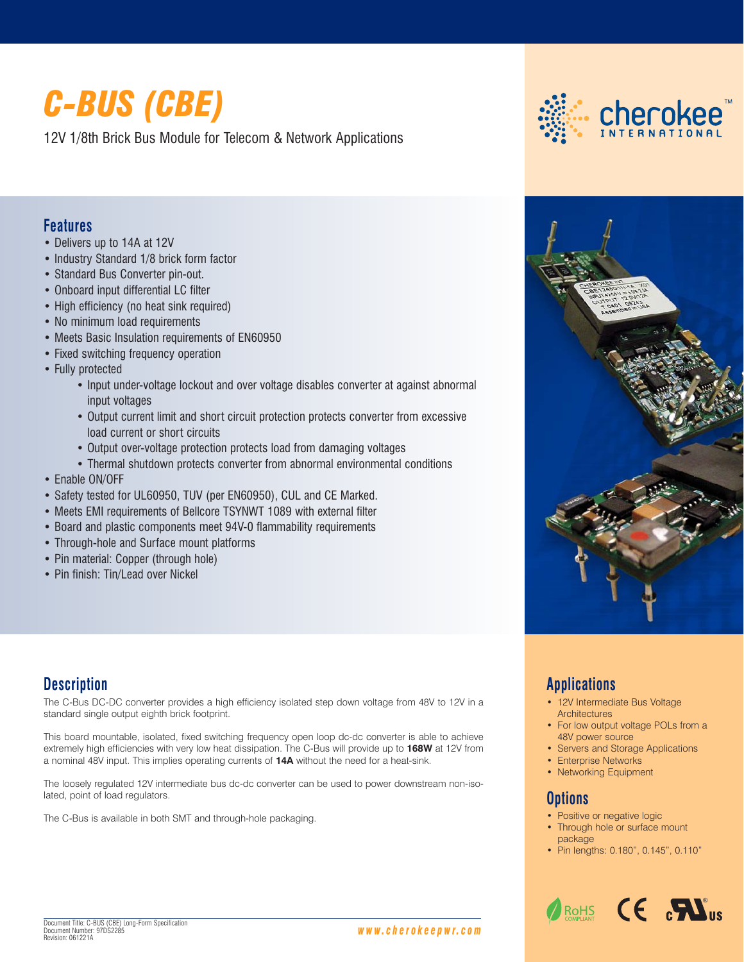# *C-BUS (CBE)*

12V 1/8th Brick Bus Module for Telecom & Network Applications

## **Features**

- Delivers up to 14A at 12V
- Industry Standard 1/8 brick form factor
- Standard Bus Converter pin-out.
- Onboard input differential LC filter
- High efficiency (no heat sink required)
- No minimum load requirements
- Meets Basic Insulation requirements of EN60950
- Fixed switching frequency operation
- Fully protected
	- Input under-voltage lockout and over voltage disables converter at against abnormal input voltages
	- Output current limit and short circuit protection protects converter from excessive load current or short circuits
	- Output over-voltage protection protects load from damaging voltages
	- Thermal shutdown protects converter from abnormal environmental conditions
- Enable ON/OFF
- Safety tested for UL60950, TUV (per EN60950), CUL and CE Marked.
- Meets EMI requirements of Bellcore TSYNWT 1089 with external filter
- Board and plastic components meet 94V-0 flammability requirements
- Through-hole and Surface mount platforms
- Pin material: Copper (through hole)
- Pin finish: Tin/Lead over Nickel

## **Description**

The C-Bus DC-DC converter provides a high efficiency isolated step down voltage from 48V to 12V in a standard single output eighth brick footprint.

This board mountable, isolated, fixed switching frequency open loop dc-dc converter is able to achieve extremely high efficiencies with very low heat dissipation. The C-Bus will provide up to **168W** at 12V from a nominal 48V input. This implies operating currents of **14A** without the need for a heat-sink.

The loosely regulated 12V intermediate bus dc-dc converter can be used to power downstream non-isolated, point of load regulators.

The C-Bus is available in both SMT and through-hole packaging.



## **Applications**

- 12V Intermediate Bus Voltage **Architectures**
- For low output voltage POLs from a 48V power source
- Servers and Storage Applications
- Enterprise Networks
- Networking Equipment

## **Options**

- Positive or negative logic
- Through hole or surface mount package
- Pin lengths: 0.180", 0.145", 0.110"

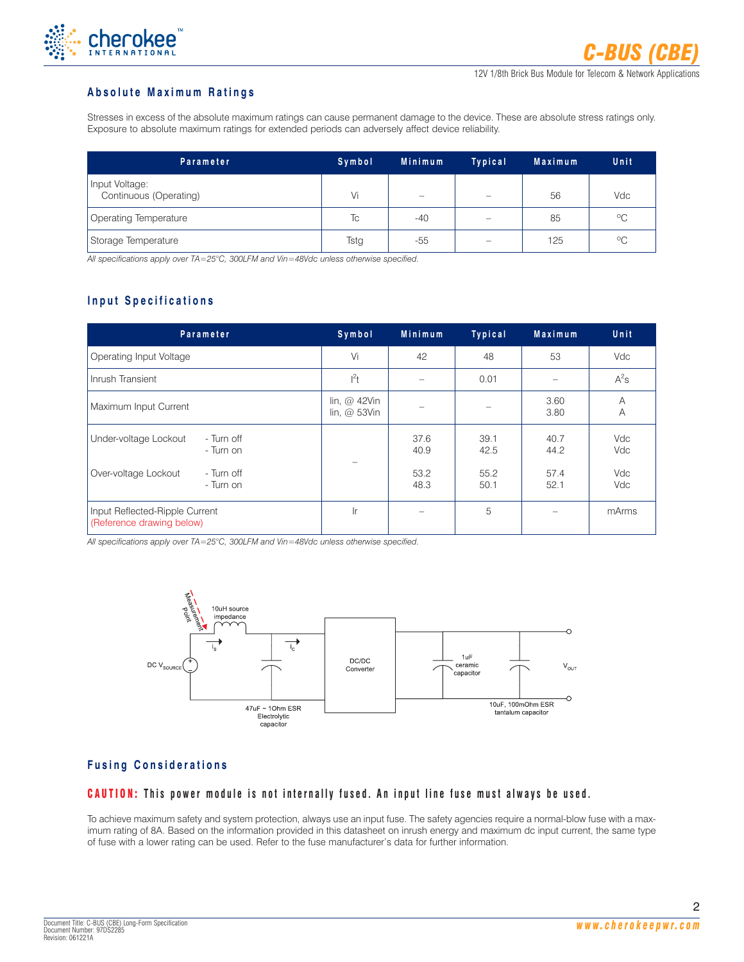

#### **Absolute Maximum Ratings**

Stresses in excess of the absolute maximum ratings can cause permanent damage to the device. These are absolute stress ratings only. Exposure to absolute maximum ratings for extended periods can adversely affect device reliability.

| Parameter                                | Symbol | Minimum                  | <b>Typical</b>           | <b>Maximum</b> | Unit        |
|------------------------------------------|--------|--------------------------|--------------------------|----------------|-------------|
| Input Voltage:<br>Continuous (Operating) | Vi     | $\overline{\phantom{0}}$ | $\overline{\phantom{m}}$ | 56             | Vdc         |
| Operating Temperature                    | Tc     | $-40$                    |                          | 85             | $^{\circ}C$ |
| Storage Temperature                      | Tstg   | $-55$                    |                          | 125            | $^{\circ}C$ |

*All specifications apply over TA=25°C, 300LFM and Vin=48Vdc unless otherwise specified.*

## **Input Specifications**

| Parameter                                                   | Symbol                                | Minimum      | Typical      | <b>Maximum</b> | Unit       |
|-------------------------------------------------------------|---------------------------------------|--------------|--------------|----------------|------------|
| Operating Input Voltage                                     | Vi                                    | 42           | 48           | 53             | Vdc        |
| Inrush Transient                                            | $l^2t$                                |              | 0.01         |                | $A^2s$     |
| Maximum Input Current                                       | lin, $@$ 42Vin<br>lin, $\omega$ 53Vin |              |              | 3.60<br>3.80   | Α<br>A     |
| Under-voltage Lockout<br>- Turn off<br>- Turn on            |                                       | 37.6<br>40.9 | 39.1<br>42.5 | 40.7<br>44.2   | Vdc<br>Vdc |
| Over-voltage Lockout<br>- Turn off<br>- Turn on             |                                       | 53.2<br>48.3 | 55.2<br>50.1 | 57.4<br>52.1   | Vdc<br>Vdc |
| Input Reflected-Ripple Current<br>(Reference drawing below) | Ir                                    |              | 5            |                | mArms      |

*All specifications apply over TA=25°C, 300LFM and Vin=48Vdc unless otherwise specified.*



## **Fusing Considerations**

#### CAUTION: **This power module is not internally fused. An input line fuse must always be used.**

To achieve maximum safety and system protection, always use an input fuse. The safety agencies require a normal-blow fuse with a maximum rating of 8A. Based on the information provided in this datasheet on inrush energy and maximum dc input current, the same type of fuse with a lower rating can be used. Refer to the fuse manufacturer's data for further information.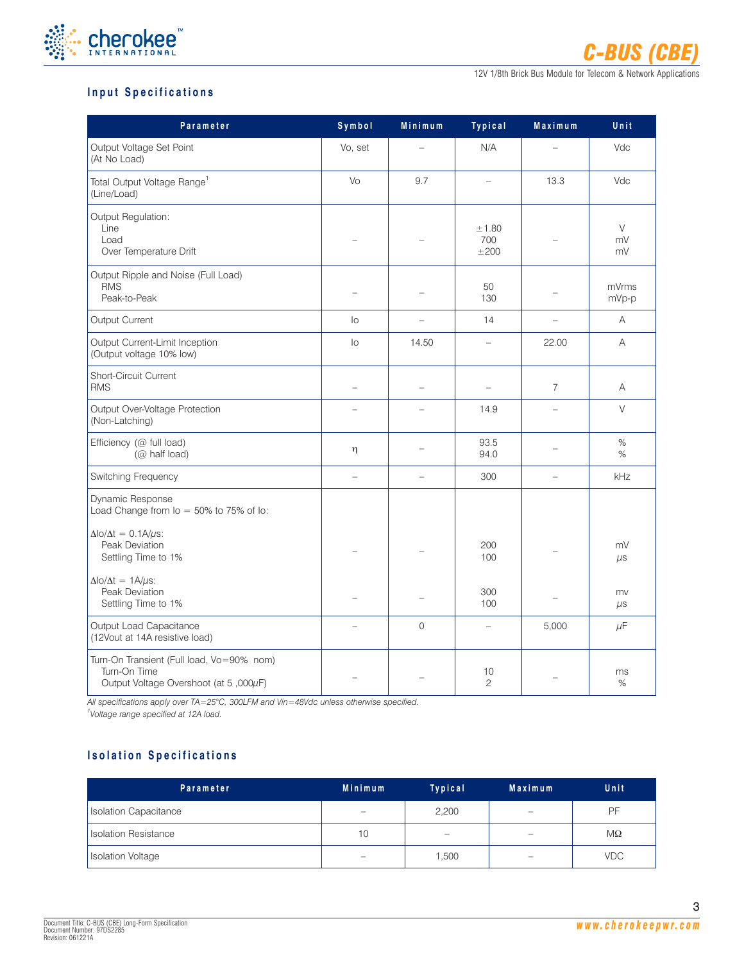

## **Input Specifications**

| Parameter                                                                                          | Symbol         | Minimum     | Typical                  | Maximum        | Unit               |
|----------------------------------------------------------------------------------------------------|----------------|-------------|--------------------------|----------------|--------------------|
| Output Voltage Set Point<br>(At No Load)                                                           | Vo, set        |             | N/A                      |                | Vdc                |
| Total Output Voltage Range <sup>1</sup><br>(Line/Load)                                             | Vo             | 9.7         | ÷                        | 13.3           | Vdc                |
| Output Regulation:<br>Line<br>Load<br>Over Temperature Drift                                       |                |             | ±1.80<br>700<br>±200     |                | $\vee$<br>mV<br>mV |
| Output Ripple and Noise (Full Load)<br><b>RMS</b><br>Peak-to-Peak                                  |                |             | 50<br>130                |                | mVrms<br>mVp-p     |
| Output Current                                                                                     | lo             | $\equiv$    | 14                       | $\equiv$       | Α                  |
| Output Current-Limit Inception<br>(Output voltage 10% low)                                         | $\overline{0}$ | 14.50       |                          | 22.00          | A                  |
| <b>Short-Circuit Current</b><br><b>RMS</b>                                                         | $\equiv$       |             | $\overline{\phantom{0}}$ | $\overline{7}$ | A                  |
| Output Over-Voltage Protection<br>(Non-Latching)                                                   |                |             | 14.9                     |                | $\vee$             |
| Efficiency (@ full load)<br>(@ half load)                                                          | η              |             | 93.5<br>94.0             |                | %<br>%             |
| Switching Frequency                                                                                | $\equiv$       | $\equiv$    | 300                      | $\equiv$       | kHz                |
| Dynamic Response<br>Load Change from $I_0 = 50\%$ to 75% of lo:                                    |                |             |                          |                |                    |
| $\Delta$ lo/ $\Delta t = 0.1$ A/ $\mu$ s:<br>Peak Deviation<br>Settling Time to 1%                 |                |             | 200<br>100               |                | mV<br>$\mu s$      |
| $\Delta$ lo/ $\Delta t = 1$ A/ $\mu$ s:<br>Peak Deviation<br>Settling Time to 1%                   |                |             | 300<br>100               |                | mv<br>$\mu$ s      |
| Output Load Capacitance<br>(12Vout at 14A resistive load)                                          |                | $\mathbf 0$ | $\qquad \qquad -$        | 5,000          | $\mu$ F            |
| Turn-On Transient (Full load, Vo=90% nom)<br>Turn-On Time<br>Output Voltage Overshoot (at 5,000µF) |                |             | 10<br>$\overline{c}$     |                | ms<br>%            |

*All specifications apply over TA=25°C, 300LFM and Vin=48Vdc unless otherwise specified.*

*1 Voltage range specified at 12A load.*

## **Isolation Specifications**

| <b>Parameter</b>            | <b>Minimum</b>           | Typical                  | Maximum                    | Unit       |
|-----------------------------|--------------------------|--------------------------|----------------------------|------------|
| Isolation Capacitance       | $\qquad \qquad \  \, -$  | 2,200                    | $\qquad \qquad \  \  \, -$ | PF.        |
| <b>Isolation Resistance</b> | 10                       | $\overline{\phantom{0}}$ | $\overline{\phantom{0}}$   | МΩ         |
| <b>Isolation Voltage</b>    | $\overline{\phantom{0}}$ | 1,500                    |                            | <b>VDC</b> |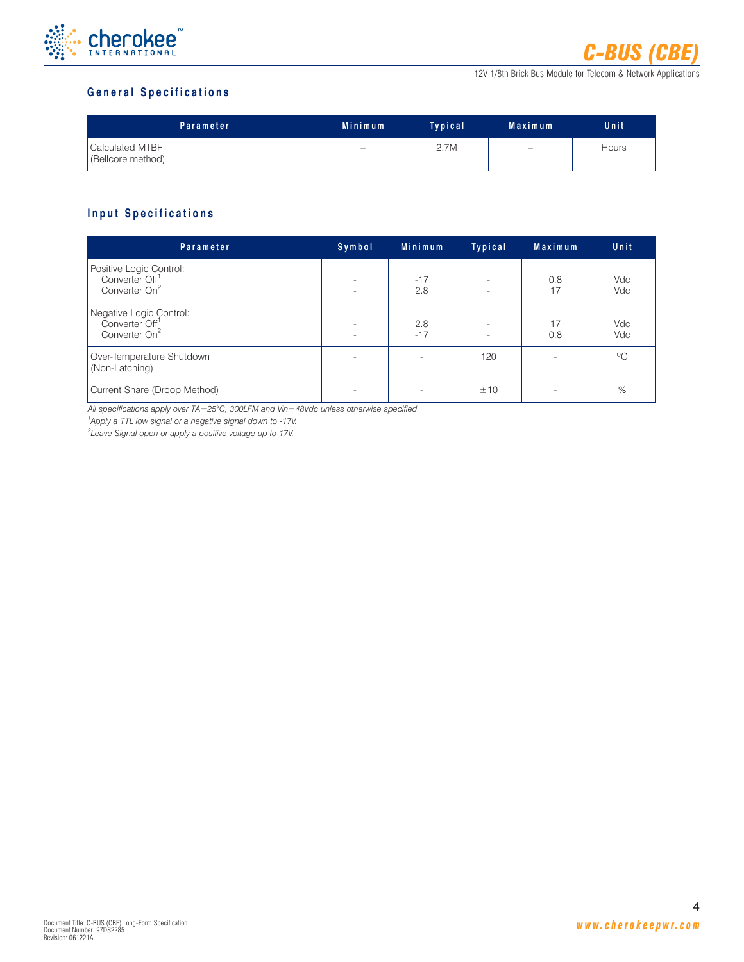

## **General Specifications**

| Parameter                            | <b>Minimum</b>           | Typical | Maximum           | Unit         |
|--------------------------------------|--------------------------|---------|-------------------|--------------|
| Calculated MTBF<br>(Bellcore method) | $\overline{\phantom{m}}$ | 2.7M    | $\qquad \qquad -$ | <b>Hours</b> |

## **Input Specifications**

| Parameter                                                                          | Symbol                                               | Minimum      | Typical                                              | Maximum   | Unit         |
|------------------------------------------------------------------------------------|------------------------------------------------------|--------------|------------------------------------------------------|-----------|--------------|
| Positive Logic Control:<br>Converter Off <sup>1</sup><br>Converter On <sup>2</sup> | $\overline{\phantom{a}}$<br>$\overline{\phantom{0}}$ | $-17$<br>2.8 | $\overline{\phantom{a}}$<br>$\overline{\phantom{a}}$ | 0.8<br>17 | Vdc<br>Vdc   |
| Negative Logic Control:<br>Converter Off <sup>1</sup><br>Converter On <sup>2</sup> | $\overline{\phantom{0}}$                             | 2.8<br>$-17$ | $\overline{\phantom{a}}$                             | 17<br>0.8 | Vdc<br>Vdc   |
| Over-Temperature Shutdown<br>(Non-Latching)                                        |                                                      |              | 120                                                  |           | $^{\circ}$ C |
| Current Share (Droop Method)                                                       |                                                      |              | ±10                                                  |           | %            |

*All specifications apply over TA=25°C, 300LFM and Vin=48Vdc unless otherwise specified.*

*1 Apply a TTL low signal or a negative signal down to -17V.*

*2 Leave Signal open or apply a positive voltage up to 17V.*

4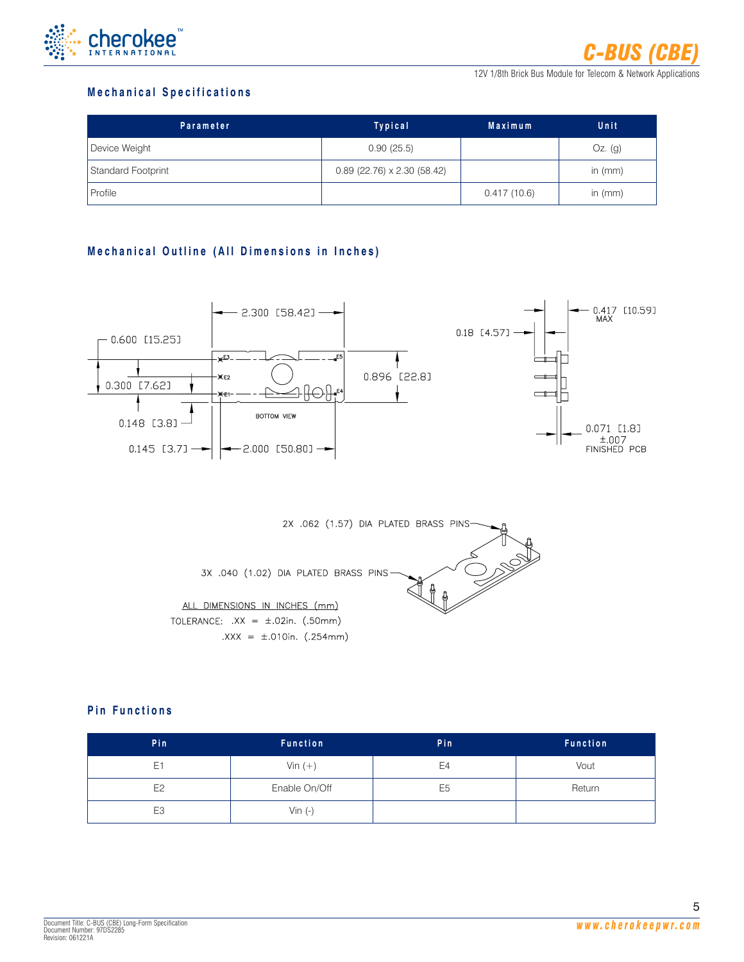

## **Mechanical Specifications**

| Parameter          | Typical                              | <b>Maximum</b> | Unit      |
|--------------------|--------------------------------------|----------------|-----------|
| Device Weight      | 0.90(25.5)                           |                | $Oz.$ (g) |
| Standard Footprint | $0.89$ (22.76) $\times$ 2.30 (58.42) |                | in $(mm)$ |
| Profile            |                                      | 0.417(10.6)    | in $(mm)$ |

## **Mechanical Outline (All Dimensions in Inches)**





## **Pin Functions**

| Pin            | <b>Function</b> | Pin            | <b>Function</b> |
|----------------|-----------------|----------------|-----------------|
| E <sub>1</sub> | Vin $(+)$       | E <sub>4</sub> | Vout            |
| E <sub>2</sub> | Enable On/Off   | E <sub>5</sub> | Return          |
| E <sub>3</sub> | Vin $(-)$       |                |                 |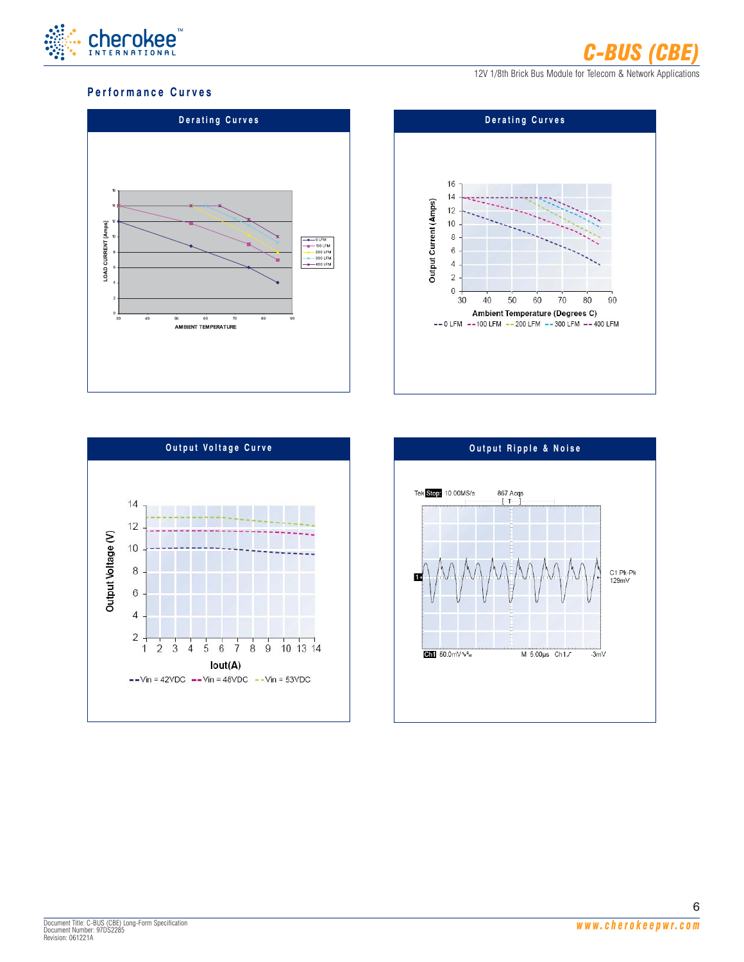

### **Performance Curves**